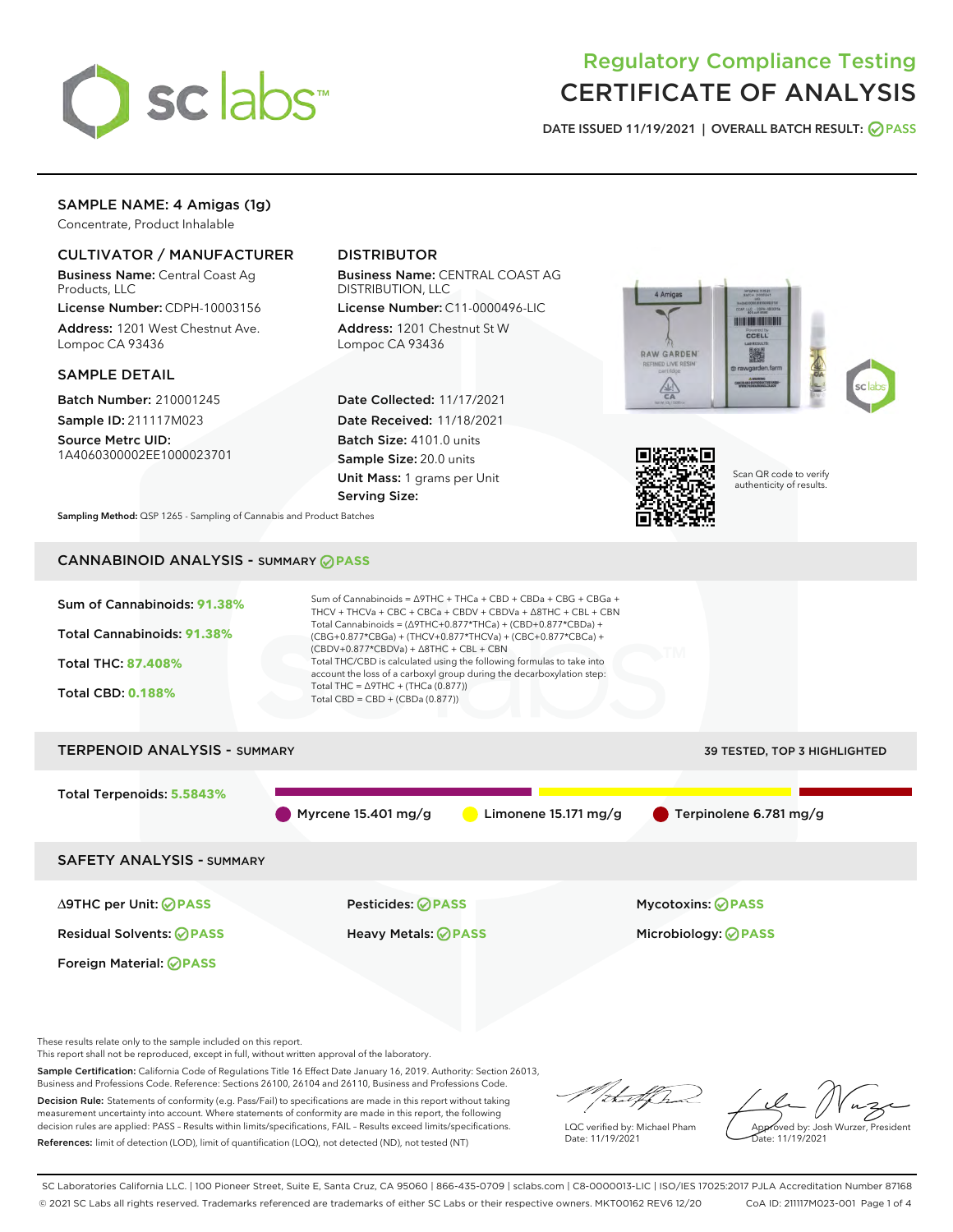

# Regulatory Compliance Testing CERTIFICATE OF ANALYSIS

DATE ISSUED 11/19/2021 | OVERALL BATCH RESULT: @ PASS

## SAMPLE NAME: 4 Amigas (1g)

Concentrate, Product Inhalable

### CULTIVATOR / MANUFACTURER

Business Name: Central Coast Ag Products, LLC

License Number: CDPH-10003156 Address: 1201 West Chestnut Ave. Lompoc CA 93436

#### SAMPLE DETAIL

Batch Number: 210001245 Sample ID: 211117M023

Source Metrc UID: 1A4060300002EE1000023701

## DISTRIBUTOR

Business Name: CENTRAL COAST AG DISTRIBUTION, LLC

License Number: C11-0000496-LIC Address: 1201 Chestnut St W Lompoc CA 93436

Date Collected: 11/17/2021 Date Received: 11/18/2021 Batch Size: 4101.0 units Sample Size: 20.0 units Unit Mass: 1 grams per Unit Serving Size:





Scan QR code to verify authenticity of results.

Sampling Method: QSP 1265 - Sampling of Cannabis and Product Batches

## CANNABINOID ANALYSIS - SUMMARY **PASS**



This report shall not be reproduced, except in full, without written approval of the laboratory.

Sample Certification: California Code of Regulations Title 16 Effect Date January 16, 2019. Authority: Section 26013, Business and Professions Code. Reference: Sections 26100, 26104 and 26110, Business and Professions Code.

Decision Rule: Statements of conformity (e.g. Pass/Fail) to specifications are made in this report without taking measurement uncertainty into account. Where statements of conformity are made in this report, the following decision rules are applied: PASS – Results within limits/specifications, FAIL – Results exceed limits/specifications. References: limit of detection (LOD), limit of quantification (LOQ), not detected (ND), not tested (NT)

that f In

LQC verified by: Michael Pham Date: 11/19/2021

Approved by: Josh Wurzer, President Date: 11/19/2021

SC Laboratories California LLC. | 100 Pioneer Street, Suite E, Santa Cruz, CA 95060 | 866-435-0709 | sclabs.com | C8-0000013-LIC | ISO/IES 17025:2017 PJLA Accreditation Number 87168 © 2021 SC Labs all rights reserved. Trademarks referenced are trademarks of either SC Labs or their respective owners. MKT00162 REV6 12/20 CoA ID: 211117M023-001 Page 1 of 4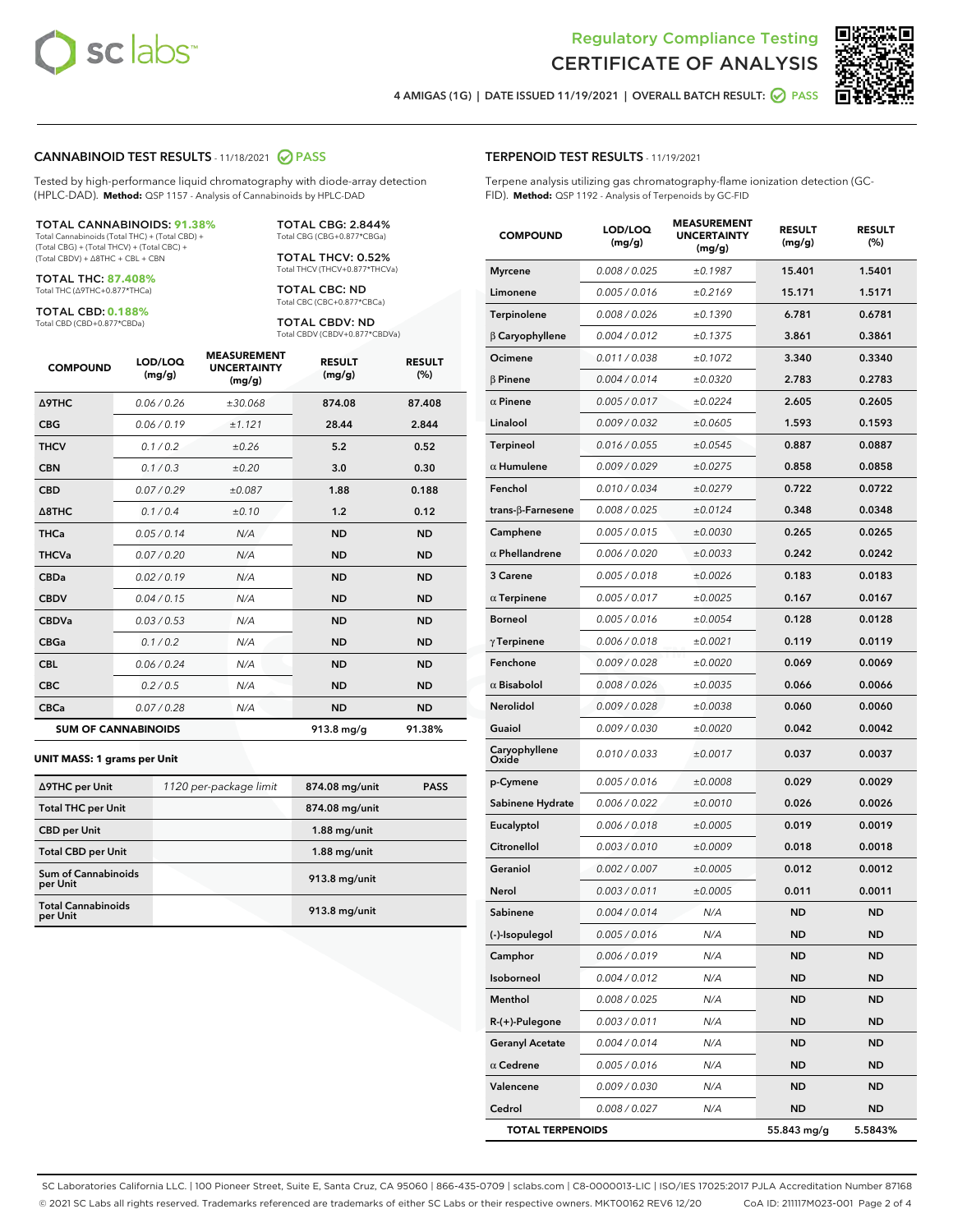

Terpene analysis utilizing gas chromatography-flame ionization detection (GC-



4 AMIGAS (1G) | DATE ISSUED 11/19/2021 | OVERALL BATCH RESULT: 2 PASS

FID). **Method:** QSP 1192 - Analysis of Terpenoids by GC-FID

TERPENOID TEST RESULTS - 11/19/2021

#### CANNABINOID TEST RESULTS - 11/18/2021 2 PASS

Tested by high-performance liquid chromatography with diode-array detection (HPLC-DAD). **Method:** QSP 1157 - Analysis of Cannabinoids by HPLC-DAD

#### TOTAL CANNABINOIDS: **91.38%**

Total Cannabinoids (Total THC) + (Total CBD) + (Total CBG) + (Total THCV) + (Total CBC) + (Total CBDV) + ∆8THC + CBL + CBN

TOTAL THC: **87.408%** Total THC (∆9THC+0.877\*THCa)

TOTAL CBD: **0.188%**

Total CBD (CBD+0.877\*CBDa)

TOTAL CBG: 2.844% Total CBG (CBG+0.877\*CBGa)

TOTAL THCV: 0.52% Total THCV (THCV+0.877\*THCVa)

TOTAL CBC: ND Total CBC (CBC+0.877\*CBCa)

TOTAL CBDV: ND Total CBDV (CBDV+0.877\*CBDVa)

| <b>COMPOUND</b>            | LOD/LOQ<br>(mg/g) | <b>MEASUREMENT</b><br><b>UNCERTAINTY</b><br>(mg/g) | <b>RESULT</b><br>(mg/g) | <b>RESULT</b><br>(%) |
|----------------------------|-------------------|----------------------------------------------------|-------------------------|----------------------|
| Δ9THC                      | 0.06 / 0.26       | ±30.068                                            | 874.08                  | 87.408               |
| <b>CBG</b>                 | 0.06/0.19         | ±1.121                                             | 28.44                   | 2.844                |
| <b>THCV</b>                | 0.1/0.2           | ±0.26                                              | 5.2                     | 0.52                 |
| <b>CBN</b>                 | 0.1/0.3           | ±0.20                                              | 3.0                     | 0.30                 |
| <b>CBD</b>                 | 0.07/0.29         | ±0.087                                             | 1.88                    | 0.188                |
| $\triangle$ 8THC           | 0.1/0.4           | ±0.10                                              | 1.2                     | 0.12                 |
| <b>THCa</b>                | 0.05/0.14         | N/A                                                | <b>ND</b>               | <b>ND</b>            |
| <b>THCVa</b>               | 0.07/0.20         | N/A                                                | <b>ND</b>               | <b>ND</b>            |
| <b>CBDa</b>                | 0.02/0.19         | N/A                                                | <b>ND</b>               | <b>ND</b>            |
| <b>CBDV</b>                | 0.04 / 0.15       | N/A                                                | <b>ND</b>               | <b>ND</b>            |
| <b>CBDVa</b>               | 0.03/0.53         | N/A                                                | <b>ND</b>               | <b>ND</b>            |
| <b>CBGa</b>                | 0.1 / 0.2         | N/A                                                | <b>ND</b>               | <b>ND</b>            |
| <b>CBL</b>                 | 0.06 / 0.24       | N/A                                                | <b>ND</b>               | <b>ND</b>            |
| <b>CBC</b>                 | 0.2 / 0.5         | N/A                                                | <b>ND</b>               | <b>ND</b>            |
| <b>CBCa</b>                | 0.07 / 0.28       | N/A                                                | <b>ND</b>               | <b>ND</b>            |
| <b>SUM OF CANNABINOIDS</b> |                   |                                                    | $913.8$ mg/g            | 91.38%               |

#### **UNIT MASS: 1 grams per Unit**

| ∆9THC per Unit                         | 1120 per-package limit | 874.08 mg/unit | <b>PASS</b> |
|----------------------------------------|------------------------|----------------|-------------|
| <b>Total THC per Unit</b>              |                        | 874.08 mg/unit |             |
| <b>CBD</b> per Unit                    |                        | $1.88$ mg/unit |             |
| <b>Total CBD per Unit</b>              |                        | $1.88$ mg/unit |             |
| <b>Sum of Cannabinoids</b><br>per Unit |                        | 913.8 mg/unit  |             |
| <b>Total Cannabinoids</b><br>per Unit  |                        | 913.8 mg/unit  |             |

| <b>COMPOUND</b>           | LOD/LOQ<br>(mg/g) | <b>MEASUREMENT</b><br><b>UNCERTAINTY</b><br>(mg/g) | <b>RESULT</b><br>(mg/g) | <b>RESULT</b><br>$(\%)$ |
|---------------------------|-------------------|----------------------------------------------------|-------------------------|-------------------------|
| <b>Myrcene</b>            | 0.008 / 0.025     | ±0.1987                                            | 15.401                  | 1.5401                  |
| Limonene                  | 0.005 / 0.016     | ±0.2169                                            | 15.171                  | 1.5171                  |
| Terpinolene               | 0.008 / 0.026     | ±0.1390                                            | 6.781                   | 0.6781                  |
| $\beta$ Caryophyllene     | 0.004 / 0.012     | ±0.1375                                            | 3.861                   | 0.3861                  |
| Ocimene                   | 0.011 / 0.038     | ±0.1072                                            | 3.340                   | 0.3340                  |
| <b>B</b> Pinene           | 0.004 / 0.014     | ±0.0320                                            | 2.783                   | 0.2783                  |
| $\alpha$ Pinene           | 0.005 / 0.017     | ±0.0224                                            | 2.605                   | 0.2605                  |
| Linalool                  | 0.009 / 0.032     | ±0.0605                                            | 1.593                   | 0.1593                  |
| Terpineol                 | 0.016 / 0.055     | ±0.0545                                            | 0.887                   | 0.0887                  |
| $\alpha$ Humulene         | 0.009 / 0.029     | ±0.0275                                            | 0.858                   | 0.0858                  |
| Fenchol                   | 0.010 / 0.034     | ±0.0279                                            | 0.722                   | 0.0722                  |
| trans- $\beta$ -Farnesene | 0.008 / 0.025     | ±0.0124                                            | 0.348                   | 0.0348                  |
| Camphene                  | 0.005 / 0.015     | ±0.0030                                            | 0.265                   | 0.0265                  |
| $\alpha$ Phellandrene     | 0.006 / 0.020     | ±0.0033                                            | 0.242                   | 0.0242                  |
| 3 Carene                  | 0.005 / 0.018     | ±0.0026                                            | 0.183                   | 0.0183                  |
| $\alpha$ Terpinene        | 0.005 / 0.017     | ±0.0025                                            | 0.167                   | 0.0167                  |
| <b>Borneol</b>            | 0.005 / 0.016     | ±0.0054                                            | 0.128                   | 0.0128                  |
| $\gamma$ Terpinene        | 0.006 / 0.018     | ±0.0021                                            | 0.119                   | 0.0119                  |
| Fenchone                  | 0.009 / 0.028     | ±0.0020                                            | 0.069                   | 0.0069                  |
| $\alpha$ Bisabolol        | 0.008 / 0.026     | ±0.0035                                            | 0.066                   | 0.0066                  |
| Nerolidol                 | 0.009 / 0.028     | ±0.0038                                            | 0.060                   | 0.0060                  |
| Guaiol                    | 0.009 / 0.030     | ±0.0020                                            | 0.042                   | 0.0042                  |
| Caryophyllene<br>Oxide    | 0.010 / 0.033     | ±0.0017                                            | 0.037                   | 0.0037                  |
| p-Cymene                  | 0.005 / 0.016     | ±0.0008                                            | 0.029                   | 0.0029                  |
| Sabinene Hydrate          | 0.006 / 0.022     | ±0.0010                                            | 0.026                   | 0.0026                  |
| Eucalyptol                | 0.006 / 0.018     | ±0.0005                                            | 0.019                   | 0.0019                  |
| Citronellol               | 0.003 / 0.010     | ±0.0009                                            | 0.018                   | 0.0018                  |
| Geraniol                  | 0.002 / 0.007     | ±0.0005                                            | 0.012                   | 0.0012                  |
| Nerol                     | 0.003 / 0.011     | ±0.0005                                            | 0.011                   | 0.0011                  |
| Sabinene                  | 0.004 / 0.014     | N/A                                                | <b>ND</b>               | <b>ND</b>               |
| (-)-Isopulegol            | 0.005 / 0.016     | N/A                                                | ND                      | ND                      |
| Camphor                   | 0.006 / 0.019     | N/A                                                | ND                      | ND                      |
| Isoborneol                | 0.004 / 0.012     | N/A                                                | <b>ND</b>               | <b>ND</b>               |
| Menthol                   | 0.008 / 0.025     | N/A                                                | ND                      | ND                      |
| R-(+)-Pulegone            | 0.003 / 0.011     | N/A                                                | ND                      | ND                      |
| <b>Geranyl Acetate</b>    | 0.004 / 0.014     | N/A                                                | <b>ND</b>               | ND                      |
| $\alpha$ Cedrene          | 0.005 / 0.016     | N/A                                                | ND                      | ND                      |
| Valencene                 | 0.009 / 0.030     | N/A                                                | ND                      | ND                      |
| Cedrol                    | 0.008 / 0.027     | N/A                                                | <b>ND</b>               | <b>ND</b>               |
| <b>TOTAL TERPENOIDS</b>   |                   |                                                    | 55.843 mg/g             | 5.5843%                 |

SC Laboratories California LLC. | 100 Pioneer Street, Suite E, Santa Cruz, CA 95060 | 866-435-0709 | sclabs.com | C8-0000013-LIC | ISO/IES 17025:2017 PJLA Accreditation Number 87168 © 2021 SC Labs all rights reserved. Trademarks referenced are trademarks of either SC Labs or their respective owners. MKT00162 REV6 12/20 CoA ID: 211117M023-001 Page 2 of 4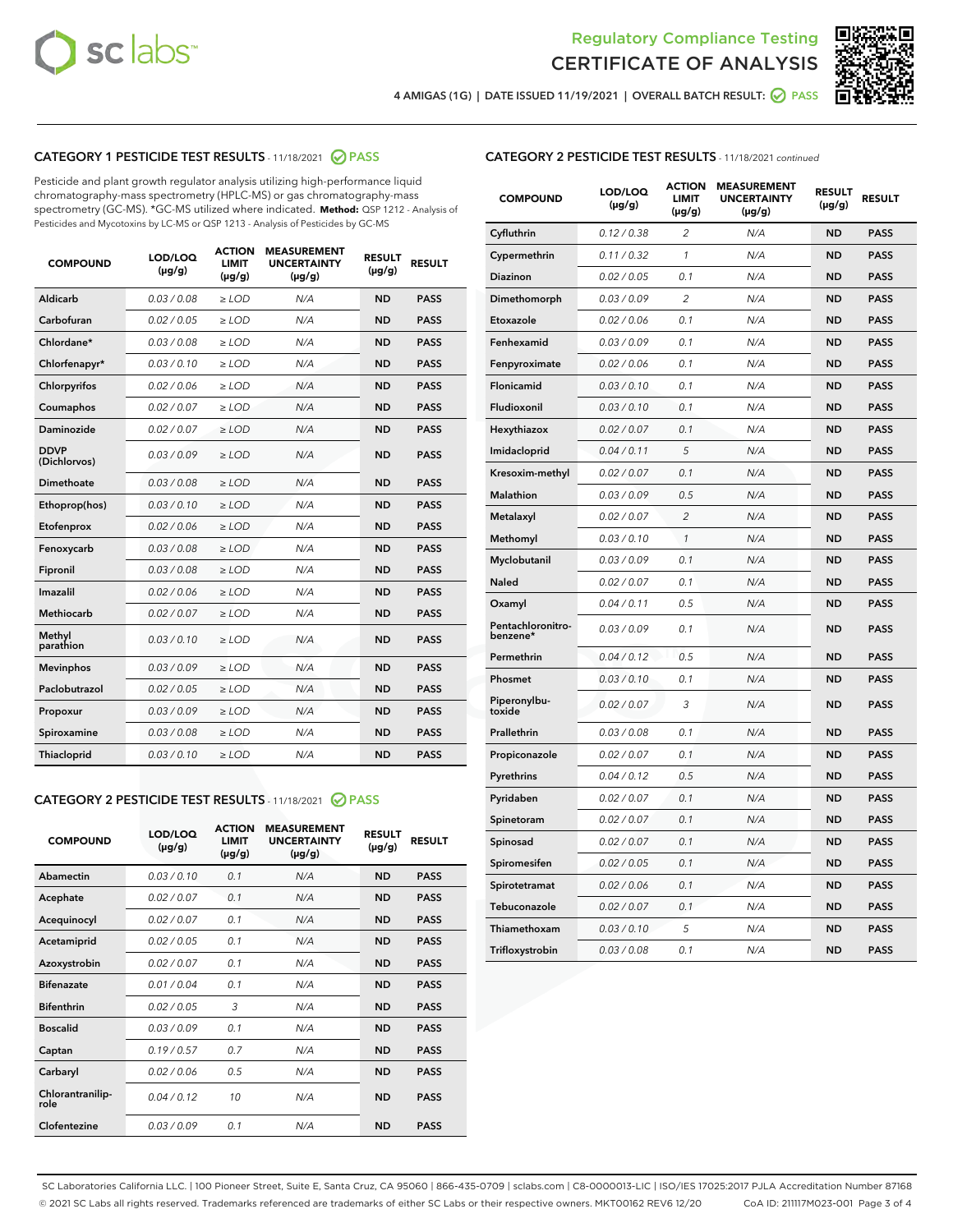



4 AMIGAS (1G) | DATE ISSUED 11/19/2021 | OVERALL BATCH RESULT: 2 PASS

## CATEGORY 1 PESTICIDE TEST RESULTS - 11/18/2021 2 PASS

Pesticide and plant growth regulator analysis utilizing high-performance liquid chromatography-mass spectrometry (HPLC-MS) or gas chromatography-mass spectrometry (GC-MS). \*GC-MS utilized where indicated. **Method:** QSP 1212 - Analysis of Pesticides and Mycotoxins by LC-MS or QSP 1213 - Analysis of Pesticides by GC-MS

| <b>COMPOUND</b>             | LOD/LOQ<br>$(\mu g/g)$ | <b>ACTION</b><br><b>LIMIT</b><br>$(\mu g/g)$ | <b>MEASUREMENT</b><br><b>UNCERTAINTY</b><br>$(\mu g/g)$ | <b>RESULT</b><br>$(\mu g/g)$ | <b>RESULT</b> |
|-----------------------------|------------------------|----------------------------------------------|---------------------------------------------------------|------------------------------|---------------|
| Aldicarb                    | 0.03 / 0.08            | $\ge$ LOD                                    | N/A                                                     | <b>ND</b>                    | <b>PASS</b>   |
| Carbofuran                  | 0.02/0.05              | $>$ LOD                                      | N/A                                                     | <b>ND</b>                    | <b>PASS</b>   |
| Chlordane*                  | 0.03 / 0.08            | $\geq$ LOD                                   | N/A                                                     | <b>ND</b>                    | <b>PASS</b>   |
| Chlorfenapyr*               | 0.03/0.10              | $\geq$ LOD                                   | N/A                                                     | <b>ND</b>                    | <b>PASS</b>   |
| Chlorpyrifos                | 0.02 / 0.06            | $\ge$ LOD                                    | N/A                                                     | <b>ND</b>                    | <b>PASS</b>   |
| Coumaphos                   | 0.02 / 0.07            | $\ge$ LOD                                    | N/A                                                     | <b>ND</b>                    | <b>PASS</b>   |
| Daminozide                  | 0.02/0.07              | $>$ LOD                                      | N/A                                                     | <b>ND</b>                    | <b>PASS</b>   |
| <b>DDVP</b><br>(Dichlorvos) | 0.03/0.09              | $\ge$ LOD                                    | N/A                                                     | <b>ND</b>                    | <b>PASS</b>   |
| Dimethoate                  | 0.03 / 0.08            | $\ge$ LOD                                    | N/A                                                     | <b>ND</b>                    | <b>PASS</b>   |
| Ethoprop(hos)               | 0.03/0.10              | $>$ LOD                                      | N/A                                                     | <b>ND</b>                    | <b>PASS</b>   |
| Etofenprox                  | 0.02 / 0.06            | $\ge$ LOD                                    | N/A                                                     | <b>ND</b>                    | <b>PASS</b>   |
| Fenoxycarb                  | 0.03 / 0.08            | $\ge$ LOD                                    | N/A                                                     | <b>ND</b>                    | <b>PASS</b>   |
| Fipronil                    | 0.03/0.08              | $\ge$ LOD                                    | N/A                                                     | <b>ND</b>                    | <b>PASS</b>   |
| Imazalil                    | 0.02 / 0.06            | $\ge$ LOD                                    | N/A                                                     | <b>ND</b>                    | <b>PASS</b>   |
| <b>Methiocarb</b>           | 0.02 / 0.07            | $\ge$ LOD                                    | N/A                                                     | <b>ND</b>                    | <b>PASS</b>   |
| Methyl<br>parathion         | 0.03/0.10              | $\ge$ LOD                                    | N/A                                                     | <b>ND</b>                    | <b>PASS</b>   |
| <b>Mevinphos</b>            | 0.03/0.09              | $>$ LOD                                      | N/A                                                     | <b>ND</b>                    | <b>PASS</b>   |
| Paclobutrazol               | 0.02 / 0.05            | $\ge$ LOD                                    | N/A                                                     | <b>ND</b>                    | <b>PASS</b>   |
| Propoxur                    | 0.03/0.09              | $\ge$ LOD                                    | N/A                                                     | <b>ND</b>                    | <b>PASS</b>   |
| Spiroxamine                 | 0.03 / 0.08            | $\ge$ LOD                                    | N/A                                                     | <b>ND</b>                    | <b>PASS</b>   |
| Thiacloprid                 | 0.03/0.10              | $\ge$ LOD                                    | N/A                                                     | <b>ND</b>                    | <b>PASS</b>   |

#### CATEGORY 2 PESTICIDE TEST RESULTS - 11/18/2021 @ PASS

| <b>COMPOUND</b>          | LOD/LOO<br>$(\mu g/g)$ | <b>ACTION</b><br>LIMIT<br>$(\mu g/g)$ | <b>MEASUREMENT</b><br><b>UNCERTAINTY</b><br>$(\mu g/g)$ | <b>RESULT</b><br>$(\mu g/g)$ | <b>RESULT</b> |  |
|--------------------------|------------------------|---------------------------------------|---------------------------------------------------------|------------------------------|---------------|--|
| Abamectin                | 0.03/0.10              | 0.1                                   | N/A                                                     | <b>ND</b>                    | <b>PASS</b>   |  |
| Acephate                 | 0.02/0.07              | 0.1                                   | N/A                                                     | <b>ND</b>                    | <b>PASS</b>   |  |
| Acequinocyl              | 0.02/0.07              | 0.1                                   | N/A                                                     | <b>ND</b>                    | <b>PASS</b>   |  |
| Acetamiprid              | 0.02/0.05              | 0.1                                   | N/A                                                     | <b>ND</b>                    | <b>PASS</b>   |  |
| Azoxystrobin             | 0.02/0.07              | 0.1                                   | N/A                                                     | <b>ND</b>                    | <b>PASS</b>   |  |
| <b>Bifenazate</b>        | 0.01 / 0.04            | 0.1                                   | N/A                                                     | <b>ND</b>                    | <b>PASS</b>   |  |
| <b>Bifenthrin</b>        | 0.02 / 0.05            | 3                                     | N/A                                                     | <b>ND</b>                    | <b>PASS</b>   |  |
| <b>Boscalid</b>          | 0.03/0.09              | 0.1                                   | N/A                                                     | <b>ND</b>                    | <b>PASS</b>   |  |
| Captan                   | 0.19/0.57              | 07                                    | N/A                                                     | <b>ND</b>                    | <b>PASS</b>   |  |
| Carbaryl                 | 0.02/0.06              | 0.5                                   | N/A                                                     | <b>ND</b>                    | <b>PASS</b>   |  |
| Chlorantranilip-<br>role | 0.04/0.12              | 10                                    | N/A                                                     | <b>ND</b>                    | <b>PASS</b>   |  |
| Clofentezine             | 0.03/0.09              | 0 <sub>1</sub>                        | N/A                                                     | <b>ND</b>                    | <b>PASS</b>   |  |

### CATEGORY 2 PESTICIDE TEST RESULTS - 11/18/2021 continued

| <b>COMPOUND</b>               | LOD/LOQ<br>(µg/g) | <b>ACTION</b><br>LIMIT<br>$(\mu g/g)$ | <b>MEASUREMENT</b><br><b>UNCERTAINTY</b><br>(µg/g) | <b>RESULT</b><br>(µg/g) | <b>RESULT</b> |
|-------------------------------|-------------------|---------------------------------------|----------------------------------------------------|-------------------------|---------------|
| Cyfluthrin                    | 0.12 / 0.38       | 2                                     | N/A                                                | ND                      | <b>PASS</b>   |
| Cypermethrin                  | 0.11 / 0.32       | $\mathbf{1}$                          | N/A                                                | ND                      | PASS          |
| Diazinon                      | 0.02 / 0.05       | 0.1                                   | N/A                                                | ND                      | PASS          |
| Dimethomorph                  | 0.03 / 0.09       | $\overline{c}$                        | N/A                                                | ND                      | <b>PASS</b>   |
| Etoxazole                     | 0.02 / 0.06       | 0.1                                   | N/A                                                | ND                      | PASS          |
| Fenhexamid                    | 0.03 / 0.09       | 0.1                                   | N/A                                                | ND                      | PASS          |
| Fenpyroximate                 | 0.02 / 0.06       | 0.1                                   | N/A                                                | ND                      | <b>PASS</b>   |
| Flonicamid                    | 0.03 / 0.10       | 0.1                                   | N/A                                                | ND                      | <b>PASS</b>   |
| Fludioxonil                   | 0.03 / 0.10       | 0.1                                   | N/A                                                | ND                      | <b>PASS</b>   |
| Hexythiazox                   | 0.02 / 0.07       | 0.1                                   | N/A                                                | <b>ND</b>               | <b>PASS</b>   |
| Imidacloprid                  | 0.04 / 0.11       | 5                                     | N/A                                                | ND                      | <b>PASS</b>   |
| Kresoxim-methyl               | 0.02 / 0.07       | 0.1                                   | N/A                                                | ND                      | <b>PASS</b>   |
| Malathion                     | 0.03 / 0.09       | 0.5                                   | N/A                                                | ND                      | <b>PASS</b>   |
| Metalaxyl                     | 0.02 / 0.07       | $\overline{c}$                        | N/A                                                | <b>ND</b>               | <b>PASS</b>   |
| Methomyl                      | 0.03 / 0.10       | $\mathcal{I}$                         | N/A                                                | <b>ND</b>               | <b>PASS</b>   |
| Myclobutanil                  | 0.03 / 0.09       | 0.1                                   | N/A                                                | <b>ND</b>               | <b>PASS</b>   |
| Naled                         | 0.02 / 0.07       | 0.1                                   | N/A                                                | ND                      | <b>PASS</b>   |
| Oxamyl                        | 0.04 / 0.11       | 0.5                                   | N/A                                                | ND                      | PASS          |
| Pentachloronitro-<br>benzene* | 0.03 / 0.09       | 0.1                                   | N/A                                                | ND                      | <b>PASS</b>   |
| Permethrin                    | 0.04 / 0.12       | 0.5                                   | N/A                                                | <b>ND</b>               | <b>PASS</b>   |
| Phosmet                       | 0.03 / 0.10       | 0.1                                   | N/A                                                | <b>ND</b>               | <b>PASS</b>   |
| Piperonylbu-<br>toxide        | 0.02 / 0.07       | 3                                     | N/A                                                | ND                      | <b>PASS</b>   |
| Prallethrin                   | 0.03 / 0.08       | 0.1                                   | N/A                                                | <b>ND</b>               | <b>PASS</b>   |
| Propiconazole                 | 0.02 / 0.07       | 0.1                                   | N/A                                                | ND                      | <b>PASS</b>   |
| Pyrethrins                    | 0.04 / 0.12       | 0.5                                   | N/A                                                | ND                      | <b>PASS</b>   |
| Pyridaben                     | 0.02 / 0.07       | 0.1                                   | N/A                                                | ND                      | <b>PASS</b>   |
| Spinetoram                    | 0.02 / 0.07       | 0.1                                   | N/A                                                | ND                      | PASS          |
| Spinosad                      | 0.02 / 0.07       | 0.1                                   | N/A                                                | ND                      | PASS          |
| Spiromesifen                  | 0.02 / 0.05       | 0.1                                   | N/A                                                | <b>ND</b>               | <b>PASS</b>   |
| Spirotetramat                 | 0.02 / 0.06       | 0.1                                   | N/A                                                | ND                      | <b>PASS</b>   |
| Tebuconazole                  | 0.02 / 0.07       | 0.1                                   | N/A                                                | ND                      | PASS          |
| Thiamethoxam                  | 0.03 / 0.10       | 5                                     | N/A                                                | ND                      | <b>PASS</b>   |
| Trifloxystrobin               | 0.03 / 0.08       | 0.1                                   | N/A                                                | <b>ND</b>               | <b>PASS</b>   |

SC Laboratories California LLC. | 100 Pioneer Street, Suite E, Santa Cruz, CA 95060 | 866-435-0709 | sclabs.com | C8-0000013-LIC | ISO/IES 17025:2017 PJLA Accreditation Number 87168 © 2021 SC Labs all rights reserved. Trademarks referenced are trademarks of either SC Labs or their respective owners. MKT00162 REV6 12/20 CoA ID: 211117M023-001 Page 3 of 4